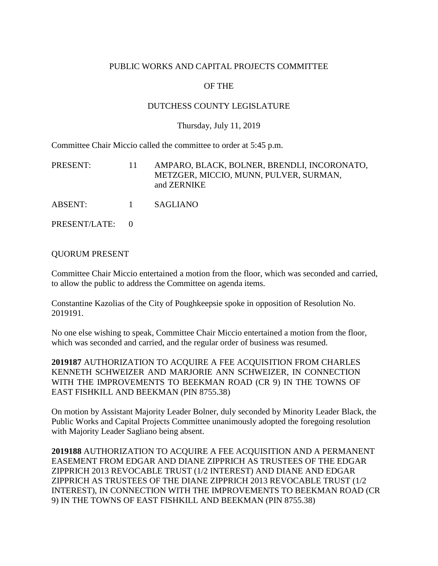## PUBLIC WORKS AND CAPITAL PROJECTS COMMITTEE

# OF THE

## DUTCHESS COUNTY LEGISLATURE

#### Thursday, July 11, 2019

Committee Chair Miccio called the committee to order at 5:45 p.m.

| PRESENT:      | 11.      | AMPARO, BLACK, BOLNER, BRENDLI, INCORONATO,<br>METZGER, MICCIO, MUNN, PULVER, SURMAN,<br>and ZERNIKE |
|---------------|----------|------------------------------------------------------------------------------------------------------|
| ABSENT:       | $\sim$ 1 | SAGLIANO                                                                                             |
| PRESENT/LATE: |          |                                                                                                      |

#### QUORUM PRESENT

Committee Chair Miccio entertained a motion from the floor, which was seconded and carried, to allow the public to address the Committee on agenda items.

Constantine Kazolias of the City of Poughkeepsie spoke in opposition of Resolution No. 2019191.

No one else wishing to speak, Committee Chair Miccio entertained a motion from the floor, which was seconded and carried, and the regular order of business was resumed.

**2019187** AUTHORIZATION TO ACQUIRE A FEE ACQUISITION FROM CHARLES KENNETH SCHWEIZER AND MARJORIE ANN SCHWEIZER, IN CONNECTION WITH THE IMPROVEMENTS TO BEEKMAN ROAD (CR 9) IN THE TOWNS OF EAST FISHKILL AND BEEKMAN (PIN 8755.38)

On motion by Assistant Majority Leader Bolner, duly seconded by Minority Leader Black, the Public Works and Capital Projects Committee unanimously adopted the foregoing resolution with Majority Leader Sagliano being absent.

**2019188** AUTHORIZATION TO ACQUIRE A FEE ACQUISITION AND A PERMANENT EASEMENT FROM EDGAR AND DIANE ZIPPRICH AS TRUSTEES OF THE EDGAR ZIPPRICH 2013 REVOCABLE TRUST (1/2 INTEREST) AND DIANE AND EDGAR ZIPPRICH AS TRUSTEES OF THE DIANE ZIPPRICH 2013 REVOCABLE TRUST (1/2 INTEREST), IN CONNECTION WITH THE IMPROVEMENTS TO BEEKMAN ROAD (CR 9) IN THE TOWNS OF EAST FISHKILL AND BEEKMAN (PIN 8755.38)